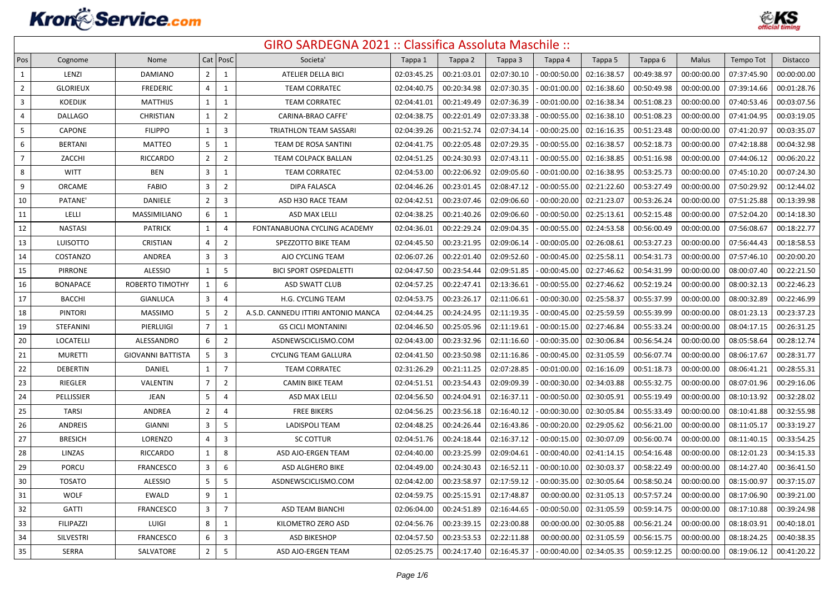

| Pos            | Cognome          | Nome                     |                | Cat   PosC              | Societa'                            | Tappa 1     | Tappa 2     | Tappa 3     | Tappa 4        | Tappa 5     | Tappa 6     | Malus       | Tempo Tot   | <b>Distacco</b> |
|----------------|------------------|--------------------------|----------------|-------------------------|-------------------------------------|-------------|-------------|-------------|----------------|-------------|-------------|-------------|-------------|-----------------|
| $\mathbf{1}$   | LENZI            | <b>DAMIANO</b>           | $\overline{2}$ | $\mathbf{1}$            | ATELIER DELLA BICI                  | 02:03:45.25 | 00:21:03.01 | 02:07:30.10 | 00:00:50.00    | 02:16:38.57 | 00:49:38.97 | 00:00:00.00 | 07:37:45.90 | 00:00:00.00     |
| $\overline{2}$ | <b>GLORIEUX</b>  | <b>FREDERIC</b>          | 4              | 1                       | <b>TEAM CORRATEC</b>                | 02:04:40.75 | 00:20:34.98 | 02:07:30.35 | 00:01:00.00    | 02:16:38.60 | 00:50:49.98 | 00:00:00.00 | 07:39:14.66 | 00:01:28.76     |
| $\overline{3}$ | <b>KOEDIJK</b>   | <b>MATTHIJS</b>          | $\mathbf{1}$   | $\mathbf{1}$            | <b>TEAM CORRATEC</b>                | 02:04:41.01 | 00:21:49.49 | 02:07:36.39 | 00:01:00.00    | 02:16:38.34 | 00:51:08.23 | 00:00:00.00 | 07:40:53.46 | 00:03:07.56     |
| $\overline{4}$ | <b>DALLAGO</b>   | CHRISTIAN                | $\mathbf{1}$   | $\overline{2}$          | CARINA-BRAO CAFFE'                  | 02:04:38.75 | 00:22:01.49 | 02:07:33.38 | 00:00:55.00    | 02:16:38.10 | 00:51:08.23 | 00:00:00.00 | 07:41:04.95 | 00:03:19.05     |
| 5              | <b>CAPONE</b>    | <b>FILIPPO</b>           | 1              | $\overline{3}$          | <b>TRIATHLON TEAM SASSARI</b>       | 02:04:39.26 | 00:21:52.74 | 02:07:34.14 | 00:00:25.00    | 02:16:16.35 | 00:51:23.48 | 00:00:00.00 | 07:41:20.97 | 00:03:35.07     |
| 6              | <b>BERTANI</b>   | MATTEO                   | 5              | $\mathbf{1}$            | TEAM DE ROSA SANTINI                | 02:04:41.75 | 00:22:05.48 | 02:07:29.35 | 00:00:55.00    | 02:16:38.57 | 00:52:18.73 | 00:00:00.00 | 07:42:18.88 | 00:04:32.98     |
| $\overline{7}$ | ZACCHI           | <b>RICCARDO</b>          | $\overline{2}$ | $\overline{2}$          | TEAM COLPACK BALLAN                 | 02:04:51.25 | 00:24:30.93 | 02:07:43.11 | $-00:00:55.00$ | 02:16:38.85 | 00:51:16.98 | 00:00:00.00 | 07:44:06.12 | 00:06:20.22     |
| 8              | <b>WITT</b>      | <b>BEN</b>               | 3              | $\mathbf{1}$            | <b>TEAM CORRATEC</b>                | 02:04:53.00 | 00:22:06.92 | 02:09:05.60 | $-00:01:00.00$ | 02:16:38.95 | 00:53:25.73 | 00:00:00.00 | 07:45:10.20 | 00:07:24.30     |
| 9              | ORCAME           | <b>FABIO</b>             | 3              | $\overline{2}$          | DIPA FALASCA                        | 02:04:46.26 | 00:23:01.45 | 02:08:47.12 | 00:00:55.00    | 02:21:22.60 | 00:53:27.49 | 00:00:00.00 | 07:50:29.92 | 00:12:44.02     |
| 10             | PATANE'          | DANIELE                  | $\overline{2}$ | 3                       | ASD H3O RACE TEAM                   | 02:04:42.51 | 00:23:07.46 | 02:09:06.60 | 00:00:20.00    | 02:21:23.07 | 00:53:26.24 | 00:00:00.00 | 07:51:25.88 | 00:13:39.98     |
| 11             | LELLI            | MASSIMILIANO             | 6              | $\mathbf{1}$            | ASD MAX LELLI                       | 02:04:38.25 | 00:21:40.26 | 02:09:06.60 | 00:00:50.00    | 02:25:13.61 | 00:52:15.48 | 00:00:00.00 | 07:52:04.20 | 00:14:18.30     |
| 12             | <b>NASTASI</b>   | <b>PATRICK</b>           | $\mathbf{1}$   | $\overline{4}$          | FONTANABUONA CYCLING ACADEMY        | 02:04:36.01 | 00:22:29.24 | 02:09:04.35 | 00:00:55.00    | 02:24:53.58 | 00:56:00.49 | 00:00:00.00 | 07:56:08.67 | 00:18:22.77     |
| 13             | LUISOTTO         | CRISTIAN                 | 4              | $\overline{2}$          | SPEZZOTTO BIKE TEAM                 | 02:04:45.50 | 00:23:21.95 | 02:09:06.14 | 00:00:05.00    | 02:26:08.61 | 00:53:27.23 | 00:00:00.00 | 07:56:44.43 | 00:18:58.53     |
| 14             | COSTANZO         | ANDREA                   | 3              | $\overline{\mathbf{3}}$ | AJO CYCLING TEAM                    | 02:06:07.26 | 00:22:01.40 | 02:09:52.60 | 00:00:45.00    | 02:25:58.11 | 00:54:31.73 | 00:00:00.00 | 07:57:46.10 | 00:20:00.20     |
| 15             | <b>PIRRONE</b>   | <b>ALESSIO</b>           | $\mathbf{1}$   | 5                       | <b>BICI SPORT OSPEDALETTI</b>       | 02:04:47.50 | 00:23:54.44 | 02:09:51.85 | 00:00:45.00    | 02:27:46.62 | 00:54:31.99 | 00:00:00.00 | 08:00:07.40 | 00:22:21.50     |
| 16             | <b>BONAPACE</b>  | <b>ROBERTO TIMOTHY</b>   | $\mathbf{1}$   | 6                       | <b>ASD SWATT CLUB</b>               | 02:04:57.25 | 00:22:47.41 | 02:13:36.61 | 00:00:55.00    | 02:27:46.62 | 00:52:19.24 | 00:00:00.00 | 08:00:32.13 | 00:22:46.23     |
| 17             | <b>BACCHI</b>    | <b>GIANLUCA</b>          | $\overline{3}$ | $\overline{4}$          | <b>H.G. CYCLING TEAM</b>            | 02:04:53.75 | 00:23:26.17 | 02:11:06.61 | 00:00:30.00    | 02:25:58.37 | 00:55:37.99 | 00:00:00.00 | 08:00:32.89 | 00:22:46.99     |
| 18             | <b>PINTORI</b>   | <b>MASSIMO</b>           | 5              | $\overline{2}$          | A.S.D. CANNEDU ITTIRI ANTONIO MANCA | 02:04:44.25 | 00:24:24.95 | 02:11:19.35 | 00:00:45.00    | 02:25:59.59 | 00:55:39.99 | 00:00:00.00 | 08:01:23.13 | 00:23:37.23     |
| 19             | <b>STEFANINI</b> | PIERLUIGI                | $\overline{7}$ | $\mathbf{1}$            | <b>GS CICLI MONTANINI</b>           | 02:04:46.50 | 00:25:05.96 | 02:11:19.61 | $-00:00:15.00$ | 02:27:46.84 | 00:55:33.24 | 00:00:00.00 | 08:04:17.15 | 00:26:31.25     |
| 20             | LOCATELLI        | ALESSANDRO               | 6              | $\overline{2}$          | ASDNEWSCICLISMO.COM                 | 02:04:43.00 | 00:23:32.96 | 02:11:16.60 | 00:00:35.00    | 02:30:06.84 | 00:56:54.24 | 00:00:00.00 | 08:05:58.64 | 00:28:12.74     |
| 21             | <b>MURETTI</b>   | <b>GIOVANNI BATTISTA</b> | 5              | $\overline{3}$          | <b>CYCLING TEAM GALLURA</b>         | 02:04:41.50 | 00:23:50.98 | 02:11:16.86 | 00:00:45.00    | 02:31:05.59 | 00:56:07.74 | 00:00:00.00 | 08:06:17.67 | 00:28:31.77     |
| 22             | <b>DEBERTIN</b>  | DANIEL                   | $\mathbf{1}$   | $\overline{7}$          | <b>TEAM CORRATEC</b>                | 02:31:26.29 | 00:21:11.25 | 02:07:28.85 | 00:01:00.00    | 02:16:16.09 | 00:51:18.73 | 00:00:00.00 | 08:06:41.21 | 00:28:55.31     |
| 23             | RIEGLER          | VALENTIN                 | $\overline{7}$ | $\overline{2}$          | <b>CAMIN BIKE TEAM</b>              | 02:04:51.51 | 00:23:54.43 | 02:09:09.39 | 00:00:30.00    | 02:34:03.88 | 00:55:32.75 | 00:00:00.00 | 08:07:01.96 | 00:29:16.06     |
| 24             | PELLISSIER       | JEAN                     | 5              | 4                       | ASD MAX LELLI                       | 02:04:56.50 | 00:24:04.91 | 02:16:37.11 | $-00:00:50.00$ | 02:30:05.91 | 00:55:19.49 | 00:00:00.00 | 08:10:13.92 | 00:32:28.02     |
| 25             | <b>TARSI</b>     | ANDREA                   | $\overline{2}$ | 4                       | <b>FREE BIKERS</b>                  | 02:04:56.25 | 00:23:56.18 | 02:16:40.12 | 00:00:30.00    | 02:30:05.84 | 00:55:33.49 | 00:00:00.00 | 08:10:41.88 | 00:32:55.98     |
| 26             | <b>ANDREIS</b>   | GIANNI                   | 3              | 5                       | <b>LADISPOLI TEAM</b>               | 02:04:48.25 | 00:24:26.44 | 02:16:43.86 | 00:00:20.00    | 02:29:05.62 | 00:56:21.00 | 00:00:00.00 | 08:11:05.17 | 00:33:19.27     |
| 27             | <b>BRESICH</b>   | LORENZO                  | $\overline{4}$ | $\overline{3}$          | <b>SC COTTUR</b>                    | 02:04:51.76 | 00:24:18.44 | 02:16:37.12 | 00:00:15.00    | 02:30:07.09 | 00:56:00.74 | 00:00:00.00 | 08:11:40.15 | 00:33:54.25     |
| 28             | LINZAS           | <b>RICCARDO</b>          | $\mathbf{1}$   | 8                       | ASD AJO-ERGEN TEAM                  | 02:04:40.00 | 00:23:25.99 | 02:09:04.61 | 00:00:40.00    | 02:41:14.15 | 00:54:16.48 | 00:00:00.00 | 08:12:01.23 | 00:34:15.33     |
| 29             | PORCU            | <b>FRANCESCO</b>         | $\overline{3}$ | 6                       | ASD ALGHERO BIKE                    | 02:04:49.00 | 00:24:30.43 | 02:16:52.11 | 00:00:10.00    | 02:30:03.37 | 00:58:22.49 | 00:00:00.00 | 08:14:27.40 | 00:36:41.50     |
| 30             | <b>TOSATO</b>    | ALESSIO                  | 5              | 5                       | ASDNEWSCICLISMO.COM                 | 02:04:42.00 | 00:23:58.97 | 02:17:59.12 | 00:00:35.00    | 02:30:05.64 | 00:58:50.24 | 00:00:00.00 | 08:15:00.97 | 00:37:15.07     |
| 31             | <b>WOLF</b>      | <b>EWALD</b>             | 9              | $\mathbf{1}$            |                                     | 02:04:59.75 | 00:25:15.91 | 02:17:48.87 | 00:00:00.00    | 02:31:05.13 | 00:57:57.24 | 00:00:00.00 | 08:17:06.90 | 00:39:21.00     |
| 32             | <b>GATTI</b>     | <b>FRANCESCO</b>         | 3              | $\overline{7}$          | <b>ASD TEAM BIANCHI</b>             | 02:06:04.00 | 00:24:51.89 | 02:16:44.65 | 00:00:50.00    | 02:31:05.59 | 00:59:14.75 | 00:00:00.00 | 08:17:10.88 | 00:39:24.98     |
| 33             | <b>FILIPAZZI</b> | LUIGI                    | 8              | $\mathbf{1}$            | KILOMETRO ZERO ASD                  | 02:04:56.76 | 00:23:39.15 | 02:23:00.88 | 00:00:00.0     | 02:30:05.88 | 00:56:21.24 | 00:00:00.00 | 08:18:03.91 | 00:40:18.01     |
| 34             | SILVESTRI        | <b>FRANCESCO</b>         | 6              | $\overline{3}$          | <b>ASD BIKESHOP</b>                 | 02:04:57.50 | 00:23:53.53 | 02:22:11.88 | 00:00:00.00    | 02:31:05.59 | 00:56:15.75 | 00:00:00.00 | 08:18:24.25 | 00:40:38.35     |
| 35             | <b>SERRA</b>     | SALVATORE                | $\overline{2}$ | 5                       | ASD AJO-ERGEN TEAM                  | 02:05:25.75 | 00:24:17.40 | 02:16:45.37 | $-00:00:40.00$ | 02:34:05.35 | 00:59:12.25 | 00:00:00.00 | 08:19:06.12 | 00:41:20.22     |
|                |                  |                          |                |                         |                                     |             |             |             |                |             |             |             |             |                 |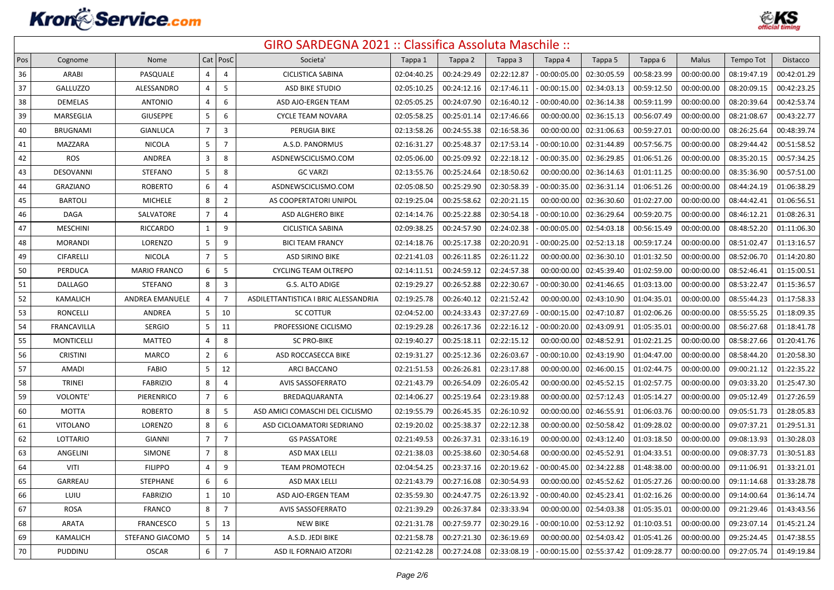

| Pos | Cognome            | Nome                   |                | $Cat$   PosC   | Societa'                             | Tappa 1     | Tappa 2     | Tappa 3     | Tappa 4     | Tappa 5     | Tappa 6     | Malus       | Tempo Tot   | Distacco    |
|-----|--------------------|------------------------|----------------|----------------|--------------------------------------|-------------|-------------|-------------|-------------|-------------|-------------|-------------|-------------|-------------|
| 36  | ARABI              | PASQUALE               | 4              | 4              | <b>CICLISTICA SABINA</b>             | 02:04:40.25 | 00:24:29.49 | 02:22:12.87 | 00:00:05.00 | 02:30:05.59 | 00:58:23.99 | 00:00:00.00 | 08:19:47.19 | 00:42:01.29 |
| 37  | <b>GALLUZZO</b>    | ALESSANDRO             | 4              | 5              | <b>ASD BIKE STUDIO</b>               | 02:05:10.25 | 00:24:12.16 | 02:17:46.11 | 00:00:15.00 | 02:34:03.13 | 00:59:12.50 | 00:00:00.00 | 08:20:09.15 | 00:42:23.25 |
| 38  | <b>DEMELAS</b>     | <b>ANTONIO</b>         | $\overline{4}$ | 6              | ASD AJO-ERGEN TEAM                   | 02:05:05.25 | 00:24:07.90 | 02:16:40.12 | 00:00:40.00 | 02:36:14.38 | 00:59:11.99 | 00:00:00.00 | 08:20:39.64 | 00:42:53.74 |
| 39  | MARSEGLIA          | <b>GIUSEPPE</b>        | 5              | 6              | <b>CYCLE TEAM NOVARA</b>             | 02:05:58.25 | 00:25:01.14 | 02:17:46.66 | 00:00:00.00 | 02:36:15.13 | 00:56:07.49 | 00:00:00.00 | 08:21:08.67 | 00:43:22.77 |
| 40  | <b>BRUGNAMI</b>    | <b>GIANLUCA</b>        | $\overline{7}$ | $\overline{3}$ | PERUGIA BIKE                         | 02:13:58.26 | 00:24:55.38 | 02:16:58.36 | 00:00:00.00 | 02:31:06.63 | 00:59:27.01 | 00:00:00.00 | 08:26:25.64 | 00:48:39.74 |
| 41  | MAZZARA            | <b>NICOLA</b>          | 5              | $\overline{7}$ | A.S.D. PANORMUS                      | 02:16:31.27 | 00:25:48.37 | 02:17:53.14 | 00:00:10.00 | 02:31:44.89 | 00:57:56.75 | 00:00:00.00 | 08:29:44.42 | 00:51:58.52 |
| 42  | ROS                | ANDREA                 | 3              | 8              | ASDNEWSCICLISMO.COM                  | 02:05:06.00 | 00:25:09.92 | 02:22:18.12 | 00:00:35.00 | 02:36:29.85 | 01:06:51.26 | 00:00:00.00 | 08:35:20.15 | 00:57:34.25 |
| 43  | DESOVANNI          | <b>STEFANO</b>         | 5              | 8              | <b>GC VARZI</b>                      | 02:13:55.76 | 00:25:24.64 | 02:18:50.62 | 00:00:00.00 | 02:36:14.63 | 01:01:11.25 | 00:00:00.00 | 08:35:36.90 | 00:57:51.00 |
| 44  | <b>GRAZIANO</b>    | <b>ROBERTO</b>         | 6              | 4              | ASDNEWSCICLISMO.COM                  | 02:05:08.50 | 00:25:29.90 | 02:30:58.39 | 00:00:35.00 | 02:36:31.14 | 01:06:51.26 | 00:00:00.00 | 08:44:24.19 | 01:06:38.29 |
| 45  | <b>BARTOLI</b>     | <b>MICHELE</b>         | 8              | $\overline{2}$ | AS COOPERTATORI UNIPOL               | 02:19:25.04 | 00:25:58.62 | 02:20:21.15 | 00:00:00.00 | 02:36:30.60 | 01:02:27.00 | 00:00:00.00 | 08:44:42.41 | 01:06:56.51 |
| 46  | DAGA               | SALVATORE              | $\overline{7}$ | $\overline{4}$ | ASD ALGHERO BIKE                     | 02:14:14.76 | 00:25:22.88 | 02:30:54.18 | 00:00:10.00 | 02:36:29.64 | 00:59:20.75 | 00:00:00.00 | 08:46:12.21 | 01:08:26.31 |
| 47  | <b>MESCHINI</b>    | <b>RICCARDO</b>        | $\mathbf{1}$   | 9              | <b>CICLISTICA SABINA</b>             | 02:09:38.25 | 00:24:57.90 | 02:24:02.38 | 00:00:05.00 | 02:54:03.18 | 00:56:15.49 | 00:00:00.00 | 08:48:52.20 | 01:11:06.30 |
| 48  | <b>MORANDI</b>     | LORENZO                | 5              | 9              | <b>BICI TEAM FRANCY</b>              | 02:14:18.76 | 00:25:17.38 | 02:20:20.91 | 00:00:25.00 | 02:52:13.18 | 00:59:17.24 | 00:00:00.00 | 08:51:02.47 | 01:13:16.57 |
| 49  | <b>CIFARELLI</b>   | <b>NICOLA</b>          | $\overline{7}$ | 5              | ASD SIRINO BIKE                      | 02:21:41.03 | 00:26:11.85 | 02:26:11.22 | 00:00:00.00 | 02:36:30.10 | 01:01:32.50 | 00:00:00.00 | 08:52:06.70 | 01:14:20.80 |
| 50  | PERDUCA            | <b>MARIO FRANCO</b>    | 6              | 5              | <b>CYCLING TEAM OLTREPO</b>          | 02:14:11.51 | 00:24:59.12 | 02:24:57.38 | 00:00:00.00 | 02:45:39.40 | 01:02:59.00 | 00:00:00.00 | 08:52:46.41 | 01:15:00.51 |
| 51  | <b>DALLAGO</b>     | <b>STEFANO</b>         | 8              | $\overline{3}$ | G.S. ALTO ADIGE                      | 02:19:29.27 | 00:26:52.88 | 02:22:30.67 | 00:00:30.00 | 02:41:46.65 | 01:03:13.00 | 00:00:00.00 | 08:53:22.47 | 01:15:36.57 |
| 52  | <b>KAMALICH</b>    | <b>ANDREA EMANUELE</b> | 4              | $\overline{7}$ | ASDILETTANTISTICA I BRIC ALESSANDRIA | 02:19:25.78 | 00:26:40.12 | 02:21:52.42 | 00:00:00.00 | 02:43:10.90 | 01:04:35.01 | 00:00:00.00 | 08:55:44.23 | 01:17:58.33 |
| 53  | <b>RONCELLI</b>    | ANDREA                 | 5              | 10             | <b>SC COTTUR</b>                     | 02:04:52.00 | 00:24:33.43 | 02:37:27.69 | 00:00:15.00 | 02:47:10.87 | 01:02:06.26 | 00:00:00.00 | 08:55:55.25 | 01:18:09.35 |
| 54  | <b>FRANCAVILLA</b> | <b>SERGIO</b>          | 5              | 11             | PROFESSIONE CICLISMO                 | 02:19:29.28 | 00:26:17.36 | 02:22:16.12 | 00:00:20.00 | 02:43:09.91 | 01:05:35.01 | 00:00:00.00 | 08:56:27.68 | 01:18:41.78 |
| 55  | MONTICELLI         | MATTEO                 | 4              | 8              | <b>SC PRO-BIKE</b>                   | 02:19:40.27 | 00:25:18.11 | 02:22:15.12 | 00:00:00.00 | 02:48:52.91 | 01:02:21.25 | 00:00:00.00 | 08:58:27.66 | 01:20:41.76 |
| 56  | <b>CRISTINI</b>    | <b>MARCO</b>           | $\overline{2}$ | 6              | ASD ROCCASECCA BIKE                  | 02:19:31.27 | 00:25:12.36 | 02:26:03.67 | 00:00:10.00 | 02:43:19.90 | 01:04:47.00 | 00:00:00.00 | 08:58:44.20 | 01:20:58.30 |
| 57  | AMADI              | <b>FABIO</b>           | 5              | 12             | ARCI BACCANO                         | 02:21:51.53 | 00:26:26.81 | 02:23:17.88 | 00:00:00.00 | 02:46:00.15 | 01:02:44.75 | 00:00:00.00 | 09:00:21.12 | 01:22:35.22 |
| 58  | <b>TRINEI</b>      | <b>FABRIZIO</b>        | 8              | $\overline{4}$ | <b>AVIS SASSOFERRATO</b>             | 02:21:43.79 | 00:26:54.09 | 02:26:05.42 | 00:00:00.00 | 02:45:52.15 | 01:02:57.75 | 00:00:00.00 | 09:03:33.20 | 01:25:47.30 |
| 59  | VOLONTE'           | PIERENRICO             | $\overline{7}$ | 6              | BREDAQUARANTA                        | 02:14:06.27 | 00:25:19.64 | 02:23:19.88 | 00:00:00.00 | 02:57:12.43 | 01:05:14.27 | 00:00:00.00 | 09:05:12.49 | 01:27:26.59 |
| 60  | MOTTA              | <b>ROBERTO</b>         | 8              | 5              | ASD AMICI COMASCHI DEL CICLISMO      | 02:19:55.79 | 00:26:45.35 | 02:26:10.92 | 00:00:00.00 | 02:46:55.91 | 01:06:03.76 | 00:00:00.00 | 09:05:51.73 | 01:28:05.83 |
| 61  | <b>VITOLANO</b>    | LORENZO                | 8              | 6              | ASD CICLOAMATORI SEDRIANO            | 02:19:20.02 | 00:25:38.37 | 02:22:12.38 | 00:00:00.00 | 02:50:58.42 | 01:09:28.02 | 00:00:00.00 | 09:07:37.21 | 01:29:51.31 |
| 62  | LOTTARIO           | <b>GIANNI</b>          | $\overline{7}$ | $\overline{7}$ | <b>GS PASSATORE</b>                  | 02:21:49.53 | 00:26:37.31 | 02:33:16.19 | 00:00:00.00 | 02:43:12.40 | 01:03:18.50 | 00:00:00.00 | 09:08:13.93 | 01:30:28.03 |
| 63  | ANGELINI           | SIMONE                 | $\overline{7}$ | 8              | ASD MAX LELLI                        | 02:21:38.03 | 00:25:38.60 | 02:30:54.68 | 00:00:00.00 | 02:45:52.91 | 01:04:33.51 | 00:00:00.00 | 09:08:37.73 | 01:30:51.83 |
| 64  | VITI               | <b>FILIPPO</b>         | 4              | 9              | <b>TEAM PROMOTECH</b>                | 02:04:54.25 | 00:23:37.16 | 02:20:19.62 | 00:00:45.00 | 02:34:22.88 | 01:48:38.00 | 00:00:00.00 | 09:11:06.91 | 01:33:21.01 |
| 65  | <b>GARREAU</b>     | <b>STEPHANE</b>        | 6              | 6              | <b>ASD MAX LELLI</b>                 | 02:21:43.79 | 00:27:16.08 | 02:30:54.93 | 00:00:00.00 | 02:45:52.62 | 01:05:27.26 | 00:00:00.00 | 09:11:14.68 | 01:33:28.78 |
| 66  | LUIU               | <b>FABRIZIO</b>        | 1              | 10             | ASD AJO-ERGEN TEAM                   | 02:35:59.30 | 00:24:47.75 | 02:26:13.92 | 00:00:40.00 | 02:45:23.41 | 01:02:16.26 | 00:00:00.00 | 09:14:00.64 | 01:36:14.74 |
| 67  | <b>ROSA</b>        | <b>FRANCO</b>          | 8              | $\overline{7}$ | <b>AVIS SASSOFERRATO</b>             | 02:21:39.29 | 00:26:37.84 | 02:33:33.94 | 00:00:00.00 | 02:54:03.38 | 01:05:35.01 | 00:00:00.00 | 09:21:29.46 | 01:43:43.56 |
| 68  | <b>ARATA</b>       | <b>FRANCESCO</b>       | 5              | 13             | <b>NEW BIKE</b>                      | 02:21:31.78 | 00:27:59.77 | 02:30:29.16 | 00:00:10.00 | 02:53:12.92 | 01:10:03.51 | 00:00:00.00 | 09:23:07.14 | 01:45:21.24 |
| 69  | <b>KAMALICH</b>    | STEFANO GIACOMO        | 5 <sup>1</sup> | 14             | A.S.D. JEDI BIKE                     | 02:21:58.78 | 00:27:21.30 | 02:36:19.69 | 00:00:00.00 | 02:54:03.42 | 01:05:41.26 | 00:00:00.00 | 09:25:24.45 | 01:47:38.55 |
| 70  | PUDDINU            | <b>OSCAR</b>           | 6              | $\overline{7}$ | ASD IL FORNAIO ATZORI                | 02:21:42.28 | 00:27:24.08 | 02:33:08.19 | 00:00:15.00 | 02:55:37.42 | 01:09:28.77 | 00:00:00.00 | 09:27:05.74 | 01:49:19.84 |
|     |                    |                        |                |                |                                      |             |             |             |             |             |             |             |             |             |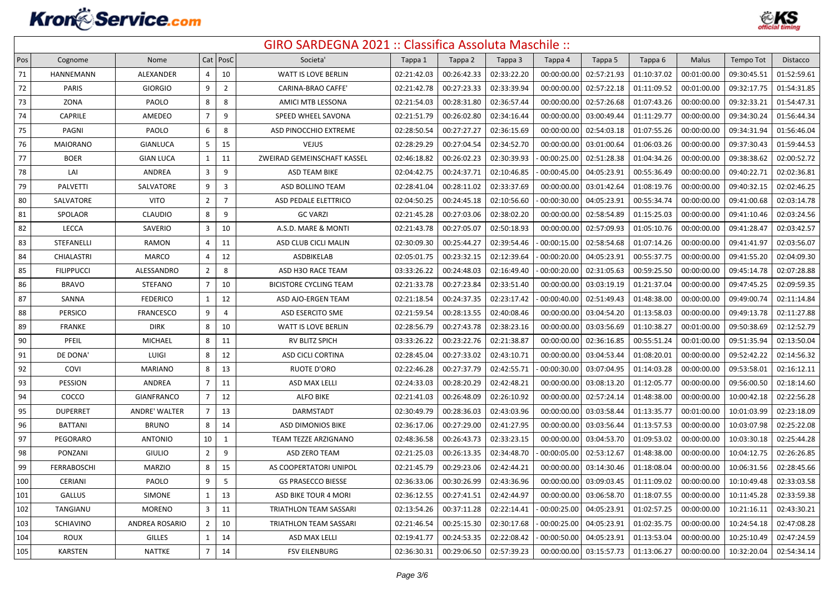

| Pos    | Cognome           | Nome                  |                | $Cat$   PosC            | Societa'                      | Tappa 1     | Tappa 2     | Tappa 3     | Tappa 4     | Tappa 5     | Tappa 6     | Malus       | Tempo Tot   | Distacco    |
|--------|-------------------|-----------------------|----------------|-------------------------|-------------------------------|-------------|-------------|-------------|-------------|-------------|-------------|-------------|-------------|-------------|
| $71\,$ | HANNEMANN         | ALEXANDER             | 4              | 10                      | WATT IS LOVE BERLIN           | 02:21:42.03 | 00:26:42.33 | 02:33:22.20 | 00:00:00.00 | 02:57:21.93 | 01:10:37.02 | 00:01:00.00 | 09:30:45.51 | 01:52:59.61 |
| 72     | <b>PARIS</b>      | <b>GIORGIO</b>        | 9              | $\overline{2}$          | <b>CARINA-BRAO CAFFE'</b>     | 02:21:42.78 | 00:27:23.33 | 02:33:39.94 | 00:00:00.00 | 02:57:22.18 | 01:11:09.52 | 00:01:00.00 | 09:32:17.75 | 01:54:31.85 |
| 73     | ZONA              | PAOLO                 | 8              | 8                       | AMICI MTB LESSONA             | 02:21:54.03 | 00:28:31.80 | 02:36:57.44 | 00:00:00.00 | 02:57:26.68 | 01:07:43.26 | 00:00:00.00 | 09:32:33.21 | 01:54:47.31 |
| 74     | CAPRILE           | AMEDEO                | $\overline{7}$ | 9                       | SPEED WHEEL SAVONA            | 02:21:51.79 | 00:26:02.80 | 02:34:16.44 | 00:00:00.00 | 03:00:49.44 | 01:11:29.77 | 00:00:00.00 | 09:34:30.24 | 01:56:44.34 |
| 75     | PAGNI             | PAOLO                 | 6              | 8                       | ASD PINOCCHIO EXTREME         | 02:28:50.54 | 00:27:27.27 | 02:36:15.69 | 00:00:00.00 | 02:54:03.18 | 01:07:55.26 | 00:00:00.00 | 09:34:31.94 | 01:56:46.04 |
| 76     | <b>MAIORANO</b>   | <b>GIANLUCA</b>       | 5              | 15                      | <b>VEJUS</b>                  | 02:28:29.29 | 00:27:04.54 | 02:34:52.70 | 00:00:00.00 | 03:01:00.64 | 01:06:03.26 | 00:00:00.00 | 09:37:30.43 | 01:59:44.53 |
| 77     | <b>BOER</b>       | <b>GIAN LUCA</b>      | $\mathbf{1}$   | 11                      | ZWEIRAD GEMEINSCHAFT KASSEL   | 02:46:18.82 | 00:26:02.23 | 02:30:39.93 | 00:00:25.00 | 02:51:28.38 | 01:04:34.26 | 00:00:00.00 | 09:38:38.62 | 02:00:52.72 |
| 78     | LAI               | ANDREA                | 3              | 9                       | ASD TEAM BIKE                 | 02:04:42.75 | 00:24:37.71 | 02:10:46.85 | 00:00:45.00 | 04:05:23.91 | 00:55:36.49 | 00:00:00.00 | 09:40:22.71 | 02:02:36.81 |
| 79     | PALVETTI          | SALVATORE             | 9              | $\overline{\mathbf{3}}$ | <b>ASD BOLLINO TEAM</b>       | 02:28:41.04 | 00:28:11.02 | 02:33:37.69 | 00:00:00.00 | 03:01:42.64 | 01:08:19.76 | 00:00:00.00 | 09:40:32.15 | 02:02:46.25 |
| 80     | SALVATORE         | <b>VITO</b>           | $\overline{2}$ | $\overline{7}$          | ASD PEDALE ELETTRICO          | 02:04:50.25 | 00:24:45.18 | 02:10:56.60 | 00:00:30.00 | 04:05:23.91 | 00:55:34.74 | 00:00:00.00 | 09:41:00.68 | 02:03:14.78 |
| 81     | SPOLAOR           | <b>CLAUDIO</b>        | 8              | 9                       | <b>GC VARZI</b>               | 02:21:45.28 | 00:27:03.06 | 02:38:02.20 | 00:00:00.00 | 02:58:54.89 | 01:15:25.03 | 00:00:00.00 | 09:41:10.46 | 02:03:24.56 |
| 82     | LECCA             | SAVERIO               | 3              | 10                      | A.S.D. MARE & MONTI           | 02:21:43.78 | 00:27:05.07 | 02:50:18.93 | 00:00:00.00 | 02:57:09.93 | 01:05:10.76 | 00:00:00.00 | 09:41:28.47 | 02:03:42.57 |
| 83     | STEFANELLI        | RAMON                 | 4              | 11                      | ASD CLUB CICLI MALIN          | 02:30:09.30 | 00:25:44.27 | 02:39:54.46 | 00:00:15.00 | 02:58:54.68 | 01:07:14.26 | 00:00:00.00 | 09:41:41.97 | 02:03:56.07 |
| 84     | <b>CHIALASTRI</b> | <b>MARCO</b>          | 4              | 12                      | ASDBIKELAB                    | 02:05:01.75 | 00:23:32.15 | 02:12:39.64 | 00:00:20.00 | 04:05:23.91 | 00:55:37.75 | 00:00:00.00 | 09:41:55.20 | 02:04:09.30 |
| 85     | <b>FILIPPUCCI</b> | ALESSANDRO            | $\overline{2}$ | 8                       | ASD H3O RACE TEAM             | 03:33:26.22 | 00:24:48.03 | 02:16:49.40 | 00:00:20.00 | 02:31:05.63 | 00:59:25.50 | 00:00:00.00 | 09:45:14.78 | 02:07:28.88 |
| 86     | <b>BRAVO</b>      | <b>STEFANO</b>        | $\overline{7}$ | 10                      | <b>BICISTORE CYCLING TEAM</b> | 02:21:33.78 | 00:27:23.84 | 02:33:51.40 | 00:00:00.00 | 03:03:19.19 | 01:21:37.04 | 00:00:00.00 | 09:47:45.25 | 02:09:59.35 |
| 87     | SANNA             | <b>FEDERICO</b>       | 1              | 12                      | ASD AJO-ERGEN TEAM            | 02:21:18.54 | 00:24:37.35 | 02:23:17.42 | 00:00:40.00 | 02:51:49.43 | 01:48:38.00 | 00:00:00.00 | 09:49:00.74 | 02:11:14.84 |
| 88     | <b>PERSICO</b>    | FRANCESCO             | 9              | $\overline{4}$          | ASD ESERCITO SME              | 02:21:59.54 | 00:28:13.55 | 02:40:08.46 | 00:00:00.00 | 03:04:54.20 | 01:13:58.03 | 00:00:00.00 | 09:49:13.78 | 02:11:27.88 |
| 89     | <b>FRANKE</b>     | <b>DIRK</b>           | 8              | 10                      | WATT IS LOVE BERLIN           | 02:28:56.79 | 00:27:43.78 | 02:38:23.16 | 00:00:00.00 | 03:03:56.69 | 01:10:38.27 | 00:01:00.00 | 09:50:38.69 | 02:12:52.79 |
| 90     | PFEIL             | MICHAEL               | 8              | 11                      | RV BLITZ SPICH                | 03:33:26.22 | 00:23:22.76 | 02:21:38.87 | 00:00:00.00 | 02:36:16.85 | 00:55:51.24 | 00:01:00.00 | 09:51:35.94 | 02:13:50.04 |
| 91     | DE DONA'          | LUIGI                 | 8              | 12                      | ASD CICLI CORTINA             | 02:28:45.04 | 00:27:33.02 | 02:43:10.71 | 00:00:00.00 | 03:04:53.44 | 01:08:20.01 | 00:00:00.00 | 09:52:42.22 | 02:14:56.32 |
| 92     | COVI              | <b>MARIANO</b>        | 8              | 13                      | RUOTE D'ORO                   | 02:22:46.28 | 00:27:37.79 | 02:42:55.71 | 00:00:30.00 | 03:07:04.95 | 01:14:03.28 | 00:00:00.00 | 09:53:58.01 | 02:16:12.11 |
| 93     | PESSION           | ANDREA                | $\overline{7}$ | 11                      | ASD MAX LELLI                 | 02:24:33.03 | 00:28:20.29 | 02:42:48.21 | 00:00:00.00 | 03:08:13.20 | 01:12:05.77 | 00:00:00.00 | 09:56:00.50 | 02:18:14.60 |
| 94     | COCCO             | <b>GIANFRANCO</b>     | $\overline{7}$ | 12                      | <b>ALFO BIKE</b>              | 02:21:41.03 | 00:26:48.09 | 02:26:10.92 | 00:00:00.00 | 02:57:24.14 | 01:48:38.00 | 00:00:00.00 | 10:00:42.18 | 02:22:56.28 |
| 95     | <b>DUPERRET</b>   | ANDRE' WALTER         | $\overline{7}$ | 13                      | DARMSTADT                     | 02:30:49.79 | 00:28:36.03 | 02:43:03.96 | 00:00:00.00 | 03:03:58.44 | 01:13:35.77 | 00:01:00.00 | 10:01:03.99 | 02:23:18.09 |
| 96     | <b>BATTANI</b>    | <b>BRUNO</b>          | 8              | 14                      | ASD DIMONIOS BIKE             | 02:36:17.06 | 00:27:29.00 | 02:41:27.95 | 00:00:00.00 | 03:03:56.44 | 01:13:57.53 | 00:00:00.00 | 10:03:07.98 | 02:25:22.08 |
| 97     | PEGORARO          | <b>ANTONIO</b>        | 10             | 1                       | TEAM TEZZE ARZIGNANO          | 02:48:36.58 | 00:26:43.73 | 02:33:23.15 | 00:00:00.00 | 03:04:53.70 | 01:09:53.02 | 00:00:00.00 | 10:03:30.18 | 02:25:44.28 |
| 98     | PONZANI           | <b>GIULIO</b>         | $\overline{2}$ | 9                       | ASD ZERO TEAM                 | 02:21:25.03 | 00:26:13.35 | 02:34:48.70 | 00:00:05.00 | 02:53:12.67 | 01:48:38.00 | 00:00:00.00 | 10:04:12.75 | 02:26:26.85 |
| 99     | FERRABOSCHI       | <b>MARZIO</b>         | 8              | 15                      | AS COOPERTATORI UNIPOL        | 02:21:45.79 | 00:29:23.06 | 02:42:44.21 | 00:00:00.00 | 03:14:30.46 | 01:18:08.04 | 00:00:00.00 | 10:06:31.56 | 02:28:45.66 |
| 100    | CERIANI           | PAOLO                 | 9              | 5                       | <b>GS PRASECCO BIESSE</b>     | 02:36:33.06 | 00:30:26.99 | 02:43:36.96 | 00:00:00.00 | 03:09:03.45 | 01:11:09.02 | 00:00:00.00 | 10:10:49.48 | 02:33:03.58 |
| 101    | <b>GALLUS</b>     | SIMONE                | $\mathbf{1}$   | 13                      | ASD BIKE TOUR 4 MORI          | 02:36:12.55 | 00:27:41.51 | 02:42:44.97 | 00:00:00.00 | 03:06:58.70 | 01:18:07.55 | 00:00:00.00 | 10:11:45.28 | 02:33:59.38 |
| 102    | TANGIANU          | <b>MORENO</b>         | 3              | 11                      | TRIATHLON TEAM SASSARI        | 02:13:54.26 | 00:37:11.28 | 02:22:14.41 | 00:00:25.00 | 04:05:23.91 | 01:02:57.25 | 00:00:00.00 | 10:21:16.11 | 02:43:30.21 |
| 103    | SCHIAVINO         | <b>ANDREA ROSARIO</b> | $\overline{2}$ | 10                      | <b>TRIATHLON TEAM SASSARI</b> | 02:21:46.54 | 00:25:15.30 | 02:30:17.68 | 00:00:25.00 | 04:05:23.91 | 01:02:35.75 | 00:00:00.00 | 10:24:54.18 | 02:47:08.28 |
| 104    | <b>ROUX</b>       | <b>GILLES</b>         | $\mathbf{1}$   | 14                      | ASD MAX LELLI                 | 02:19:41.77 | 00:24:53.35 | 02:22:08.42 | 00:00:50.00 | 04:05:23.91 | 01:13:53.04 | 00:00:00.00 | 10:25:10.49 | 02:47:24.59 |
| 105    | <b>KARSTEN</b>    | <b>NATTKE</b>         | $\overline{7}$ | 14                      | <b>FSV EILENBURG</b>          | 02:36:30.31 | 00:29:06.50 | 02:57:39.23 | 00:00:00.00 | 03:15:57.73 | 01:13:06.27 | 00:00:00.00 | 10:32:20.04 | 02:54:34.14 |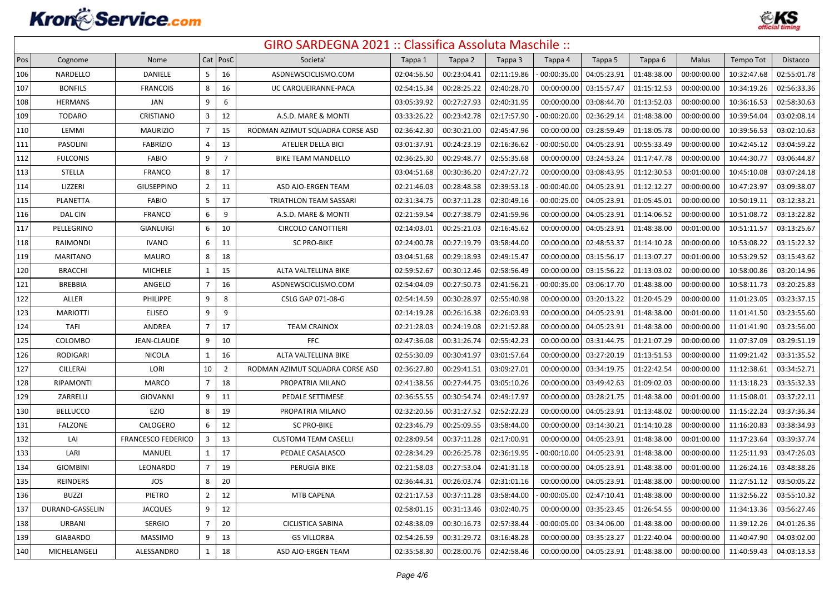

| Pos | Cognome         | Nome                      |                | Cat   PosC     | Societa'                        | Tappa 1     | Tappa 2     | Tappa 3     | Tappa 4     | Tappa 5     | Tappa 6     | Malus       | Tempo Tot   | Distacco    |
|-----|-----------------|---------------------------|----------------|----------------|---------------------------------|-------------|-------------|-------------|-------------|-------------|-------------|-------------|-------------|-------------|
| 106 | NARDELLO        | <b>DANIELE</b>            | 5              | 16             | ASDNEWSCICLISMO.COM             | 02:04:56.50 | 00:23:04.41 | 02:11:19.86 | 00:00:35.00 | 04:05:23.91 | 01:48:38.00 | 00:00:00.00 | 10:32:47.68 | 02:55:01.78 |
| 107 | <b>BONFILS</b>  | <b>FRANCOIS</b>           | 8              | 16             | UC CARQUEIRANNE-PACA            | 02:54:15.34 | 00:28:25.22 | 02:40:28.70 | 00:00:00.00 | 03:15:57.47 | 01:15:12.53 | 00:00:00.00 | 10:34:19.26 | 02:56:33.36 |
| 108 | <b>HERMANS</b>  | JAN                       | 9              | 6              |                                 | 03:05:39.92 | 00:27:27.93 | 02:40:31.95 | 00:00:00.00 | 03:08:44.70 | 01:13:52.03 | 00:00:00.00 | 10:36:16.53 | 02:58:30.63 |
| 109 | <b>TODARO</b>   | CRISTIANO                 | 3              | 12             | A.S.D. MARE & MONTI             | 03:33:26.22 | 00:23:42.78 | 02:17:57.90 | 00:00:20.00 | 02:36:29.14 | 01:48:38.00 | 00:00:00.00 | 10:39:54.04 | 03:02:08.14 |
| 110 | LEMMI           | <b>MAURIZIO</b>           | $\overline{7}$ | 15             | RODMAN AZIMUT SQUADRA CORSE ASD | 02:36:42.30 | 00:30:21.00 | 02:45:47.96 | 00:00:00.00 | 03:28:59.49 | 01:18:05.78 | 00:00:00.00 | 10:39:56.53 | 03:02:10.63 |
| 111 | <b>PASOLINI</b> | <b>FABRIZIO</b>           | 4              | 13             | ATELIER DELLA BICI              | 03:01:37.91 | 00:24:23.19 | 02:16:36.62 | 00:00:50.00 | 04:05:23.91 | 00:55:33.49 | 00:00:00.00 | 10:42:45.12 | 03:04:59.22 |
| 112 | <b>FULCONIS</b> | <b>FABIO</b>              | 9              | $\overline{7}$ | <b>BIKE TEAM MANDELLO</b>       | 02:36:25.30 | 00:29:48.77 | 02:55:35.68 | 00:00:00.00 | 03:24:53.24 | 01:17:47.78 | 00:00:00.00 | 10:44:30.77 | 03:06:44.87 |
| 113 | <b>STELLA</b>   | <b>FRANCO</b>             | 8              | 17             |                                 | 03:04:51.68 | 00:30:36.20 | 02:47:27.72 | 00:00:00.00 | 03:08:43.95 | 01:12:30.53 | 00:01:00.00 | 10:45:10.08 | 03:07:24.18 |
| 114 | LIZZERI         | <b>GIUSEPPINO</b>         | $\overline{2}$ | 11             | ASD AJO-ERGEN TEAM              | 02:21:46.03 | 00:28:48.58 | 02:39:53.18 | 00:00:40.00 | 04:05:23.91 | 01:12:12.27 | 00:00:00.00 | 10:47:23.97 | 03:09:38.07 |
| 115 | <b>PLANETTA</b> | <b>FABIO</b>              | 5              | 17             | <b>TRIATHLON TEAM SASSARI</b>   | 02:31:34.75 | 00:37:11.28 | 02:30:49.16 | 00:00:25.00 | 04:05:23.91 | 01:05:45.01 | 00:00:00.00 | 10:50:19.11 | 03:12:33.21 |
| 116 | <b>DAL CIN</b>  | <b>FRANCO</b>             | 6              | 9              | A.S.D. MARE & MONTI             | 02:21:59.54 | 00:27:38.79 | 02:41:59.96 | 00:00:00.00 | 04:05:23.91 | 01:14:06.52 | 00:00:00.00 | 10:51:08.72 | 03:13:22.82 |
| 117 | PELLEGRINO      | GIANLUIGI                 | 6              | 10             | <b>CIRCOLO CANOTTIERI</b>       | 02:14:03.01 | 00:25:21.03 | 02:16:45.62 | 00:00:00.00 | 04:05:23.91 | 01:48:38.00 | 00:01:00.00 | 10:51:11.57 | 03:13:25.67 |
| 118 | RAIMONDI        | <b>IVANO</b>              | 6              | 11             | <b>SC PRO-BIKE</b>              | 02:24:00.78 | 00:27:19.79 | 03:58:44.00 | 00:00:00.00 | 02:48:53.37 | 01:14:10.28 | 00:00:00.00 | 10:53:08.22 | 03:15:22.32 |
| 119 | <b>MARITANO</b> | <b>MAURO</b>              | 8              | 18             |                                 | 03:04:51.68 | 00:29:18.93 | 02:49:15.47 | 00:00:00.00 | 03:15:56.17 | 01:13:07.27 | 00:01:00.00 | 10:53:29.52 | 03:15:43.62 |
| 120 | <b>BRACCHI</b>  | <b>MICHELE</b>            | $\mathbf{1}$   | 15             | ALTA VALTELLINA BIKE            | 02:59:52.67 | 00:30:12.46 | 02:58:56.49 | 00:00:00.00 | 03:15:56.22 | 01:13:03.02 | 00:00:00.00 | 10:58:00.86 | 03:20:14.96 |
| 121 | <b>BREBBIA</b>  | ANGELO                    | $\overline{7}$ | 16             | ASDNEWSCICLISMO.COM             | 02:54:04.09 | 00:27:50.73 | 02:41:56.21 | 00:00:35.00 | 03:06:17.70 | 01:48:38.00 | 00:00:00.00 | 10:58:11.73 | 03:20:25.83 |
| 122 | ALLER           | PHILIPPE                  | $\mathbf{q}$   | 8              | CSLG GAP 071-08-G               | 02:54:14.59 | 00:30:28.97 | 02:55:40.98 | 00:00:00.00 | 03:20:13.22 | 01:20:45.29 | 00:00:00.00 | 11:01:23.05 | 03:23:37.15 |
| 123 | <b>MARIOTTI</b> | <b>ELISEO</b>             | $\mathbf{q}$   | 9              |                                 | 02:14:19.28 | 00:26:16.38 | 02:26:03.93 | 00:00:00.00 | 04:05:23.91 | 01:48:38.00 | 00:01:00.00 | 11:01:41.50 | 03:23:55.60 |
| 124 | <b>TAFI</b>     | ANDREA                    | $\overline{7}$ | 17             | <b>TEAM CRAINOX</b>             | 02:21:28.03 | 00:24:19.08 | 02:21:52.88 | 00:00:00.00 | 04:05:23.91 | 01:48:38.00 | 00:00:00.00 | 11:01:41.90 | 03:23:56.00 |
| 125 | COLOMBO         | JEAN-CLAUDE               | 9              | 10             | <b>FFC</b>                      | 02:47:36.08 | 00:31:26.74 | 02:55:42.23 | 00:00:00.00 | 03:31:44.75 | 01:21:07.29 | 00:00:00.00 | 11:07:37.09 | 03:29:51.19 |
| 126 | <b>RODIGARI</b> | <b>NICOLA</b>             | 1              | 16             | ALTA VALTELLINA BIKE            | 02:55:30.09 | 00:30:41.97 | 03:01:57.64 | 00:00:00.00 | 03:27:20.19 | 01:13:51.53 | 00:00:00.00 | 11:09:21.42 | 03:31:35.52 |
| 127 | <b>CILLERAI</b> | LORI                      | 10             | $\overline{2}$ | RODMAN AZIMUT SQUADRA CORSE ASD | 02:36:27.80 | 00:29:41.51 | 03:09:27.01 | 00:00:00.00 | 03:34:19.75 | 01:22:42.54 | 00:00:00.00 | 11:12:38.61 | 03:34:52.71 |
| 128 | RIPAMONTI       | <b>MARCO</b>              | $\overline{7}$ | 18             | PROPATRIA MILANO                | 02:41:38.56 | 00:27:44.75 | 03:05:10.26 | 00:00:00.00 | 03:49:42.63 | 01:09:02.03 | 00:00:00.00 | 11:13:18.23 | 03:35:32.33 |
| 129 | ZARRELLI        | GIOVANNI                  | 9              | 11             | PEDALE SETTIMESE                | 02:36:55.55 | 00:30:54.74 | 02:49:17.97 | 00:00:00.00 | 03:28:21.75 | 01:48:38.00 | 00:01:00.00 | 11:15:08.01 | 03:37:22.11 |
| 130 | <b>BELLUCCO</b> | EZIO                      | 8              | 19             | PROPATRIA MILANO                | 02:32:20.56 | 00:31:27.52 | 02:52:22.23 | 00:00:00.00 | 04:05:23.91 | 01:13:48.02 | 00:00:00.00 | 11:15:22.24 | 03:37:36.34 |
| 131 | <b>FALZONE</b>  | CALOGERO                  | 6              | 12             | <b>SC PRO-BIKE</b>              | 02:23:46.79 | 00:25:09.55 | 03:58:44.00 | 00:00:00.00 | 03:14:30.21 | 01:14:10.28 | 00:00:00.00 | 11:16:20.83 | 03:38:34.93 |
| 132 | LAI             | <b>FRANCESCO FEDERICO</b> | 3              | 13             | <b>CUSTOM4 TEAM CASELLI</b>     | 02:28:09.54 | 00:37:11.28 | 02:17:00.91 | 00:00:00.00 | 04:05:23.91 | 01:48:38.00 | 00:01:00.00 | 11:17:23.64 | 03:39:37.74 |
| 133 | LARI            | <b>MANUEL</b>             | $\mathbf{1}$   | 17             | PEDALE CASALASCO                | 02:28:34.29 | 00:26:25.78 | 02:36:19.95 | 00:00:10.00 | 04:05:23.91 | 01:48:38.00 | 00:00:00.00 | 11:25:11.93 | 03:47:26.03 |
| 134 | <b>GIOMBINI</b> | LEONARDO                  | $\overline{7}$ | 19             | PERUGIA BIKE                    | 02:21:58.03 | 00:27:53.04 | 02:41:31.18 | 00:00:00.00 | 04:05:23.91 | 01:48:38.00 | 00:01:00.00 | 11:26:24.16 | 03:48:38.26 |
| 135 | REINDERS        | JOS                       | 8              | 20             |                                 | 02:36:44.31 | 00:26:03.74 | 02:31:01.16 | 00:00:00.00 | 04:05:23.91 | 01:48:38.00 | 00:00:00.00 | 11:27:51.12 | 03:50:05.22 |
| 136 | <b>BUZZI</b>    | PIETRO                    | $\overline{2}$ | 12             | MTB CAPENA                      | 02:21:17.53 | 00:37:11.28 | 03:58:44.00 | 00:00:05.00 | 02:47:10.41 | 01:48:38.00 | 00:00:00.00 | 11:32:56.22 | 03:55:10.32 |
| 137 | DURAND-GASSELIN | <b>JACQUES</b>            | 9              | 12             |                                 | 02:58:01.15 | 00:31:13.46 | 03:02:40.75 | 00:00:00.00 | 03:35:23.45 | 01:26:54.55 | 00:00:00.00 | 11:34:13.36 | 03:56:27.46 |
| 138 | URBANI          | <b>SERGIO</b>             | 7              | 20             | <b>CICLISTICA SABINA</b>        | 02:48:38.09 | 00:30:16.73 | 02:57:38.44 | 00:00:05.00 | 03:34:06.00 | 01:48:38.00 | 00:00:00.00 | 11:39:12.26 | 04:01:26.36 |
| 139 | <b>GIABARDO</b> | MASSIMO                   | q              | 13             | <b>GS VILLORBA</b>              | 02:54:26.59 | 00:31:29.72 | 03:16:48.28 | 00:00:00.00 | 03:35:23.27 | 01:22:40.04 | 00:00:00.00 | 11:40:47.90 | 04:03:02.00 |
| 140 | MICHELANGELI    | ALESSANDRO                | $\mathbf{1}$   | 18             | ASD AJO-ERGEN TEAM              | 02:35:58.30 | 00:28:00.76 | 02:42:58.46 | 00:00:00.00 | 04:05:23.91 | 01:48:38.00 | 00:00:00.00 | 11:40:59.43 | 04:03:13.53 |
|     |                 |                           |                |                |                                 |             |             |             |             |             |             |             |             |             |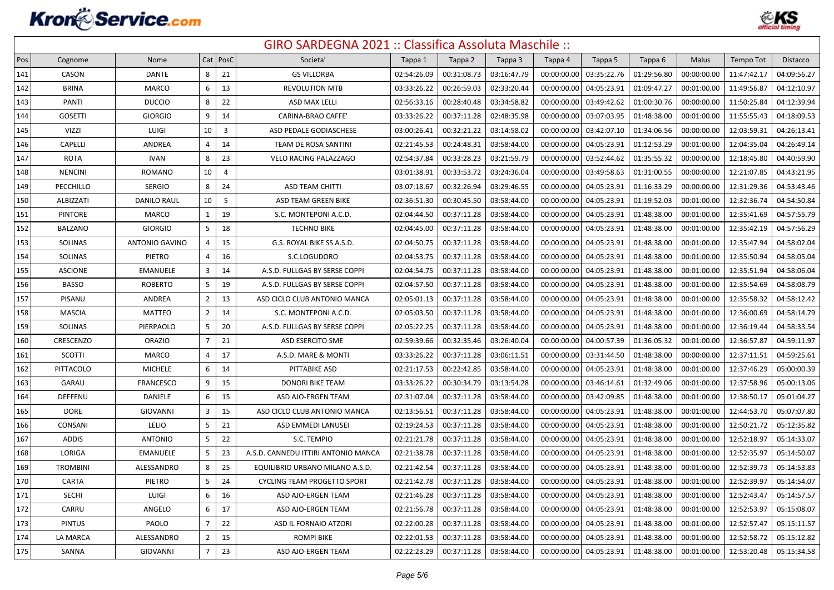

| Pos | Cognome         | Nome                  |                | Cat   PosC     | Societa'                            | Tappa 1     | Tappa 2     | Tappa 3     | Tappa 4     | Tappa 5     | Tappa 6     | Malus       | Tempo Tot   | Distacco    |
|-----|-----------------|-----------------------|----------------|----------------|-------------------------------------|-------------|-------------|-------------|-------------|-------------|-------------|-------------|-------------|-------------|
| 141 | CASON           | <b>DANTE</b>          | 8              | 21             | <b>GS VILLORBA</b>                  | 02:54:26.09 | 00:31:08.73 | 03:16:47.79 | 00:00:00.00 | 03:35:22.76 | 01:29:56.80 | 00:00:00.00 | 11:47:42.17 | 04:09:56.27 |
| 142 | <b>BRINA</b>    | MARCO                 | 6              | 13             | <b>REVOLUTION MTB</b>               | 03:33:26.22 | 00:26:59.03 | 02:33:20.44 | 00:00:00.00 | 04:05:23.91 | 01:09:47.27 | 00:01:00.00 | 11:49:56.87 | 04:12:10.97 |
| 143 | PANTI           | <b>DUCCIO</b>         | 8              | 22             | ASD MAX LELLI                       | 02:56:33.16 | 00:28:40.48 | 03:34:58.82 | 00:00:00.0  | 03:49:42.62 | 01:00:30.76 | 00:00:00.00 | 11:50:25.84 | 04:12:39.94 |
| 144 | <b>GOSETTI</b>  | <b>GIORGIO</b>        | 9              | 14             | CARINA-BRAO CAFFE'                  | 03:33:26.22 | 00:37:11.28 | 02:48:35.98 | 00:00:00.00 | 03:07:03.95 | 01:48:38.00 | 00:01:00.00 | 11:55:55.43 | 04:18:09.53 |
| 145 | <b>VIZZI</b>    | LUIGI                 | 10             | $\overline{3}$ | ASD PEDALE GODIASCHESE              | 03:00:26.41 | 00:32:21.22 | 03:14:58.02 | 00:00:00.00 | 03:42:07.10 | 01:34:06.56 | 00:00:00.00 | 12:03:59.31 | 04:26:13.41 |
| 146 | <b>CAPELLI</b>  | ANDREA                | 4              | 14             | TEAM DE ROSA SANTINI                | 02:21:45.53 | 00:24:48.31 | 03:58:44.00 | 00:00:00.00 | 04:05:23.91 | 01:12:53.29 | 00:01:00.00 | 12:04:35.04 | 04:26:49.14 |
| 147 | <b>ROTA</b>     | <b>IVAN</b>           | 8              | 23             | VELO RACING PALAZZAGO               | 02:54:37.84 | 00:33:28.23 | 03:21:59.79 | 00:00:00.00 | 03:52:44.62 | 01:35:55.32 | 00:00:00.00 | 12:18:45.80 | 04:40:59.90 |
| 148 | <b>NENCINI</b>  | <b>ROMANO</b>         | 10             | $\overline{4}$ |                                     | 03:01:38.91 | 00:33:53.72 | 03:24:36.04 | 00:00:00.00 | 03:49:58.63 | 01:31:00.55 | 00:00:00.00 | 12:21:07.85 | 04:43:21.95 |
| 149 | PECCHILLO       | <b>SERGIO</b>         | 8              | 24             | <b>ASD TEAM CHITTI</b>              | 03:07:18.67 | 00:32:26.94 | 03:29:46.55 | 00:00:00.00 | 04:05:23.91 | 01:16:33.29 | 00:00:00.00 | 12:31:29.36 | 04:53:43.46 |
| 150 | ALBIZZATI       | <b>DANILO RAUL</b>    | 10             | 5              | ASD TEAM GREEN BIKE                 | 02:36:51.30 | 00:30:45.50 | 03:58:44.00 | 00:00:00.00 | 04:05:23.91 | 01:19:52.03 | 00:01:00.00 | 12:32:36.74 | 04:54:50.84 |
| 151 | PINTORE         | MARCO                 | $\mathbf{1}$   | 19             | S.C. MONTEPONI A.C.D.               | 02:04:44.50 | 00:37:11.28 | 03:58:44.00 | 00:00:00.00 | 04:05:23.91 | 01:48:38.00 | 00:01:00.00 | 12:35:41.69 | 04:57:55.79 |
| 152 | <b>BALZANO</b>  | <b>GIORGIO</b>        | 5              | 18             | <b>TECHNO BIKE</b>                  | 02:04:45.00 | 00:37:11.28 | 03:58:44.00 | 00:00:00.00 | 04:05:23.91 | 01:48:38.00 | 00:01:00.00 | 12:35:42.19 | 04:57:56.29 |
| 153 | <b>SOLINAS</b>  | <b>ANTONIO GAVINO</b> | 4              | 15             | G.S. ROYAL BIKE SS A.S.D.           | 02:04:50.75 | 00:37:11.28 | 03:58:44.00 | 00:00:00.00 | 04:05:23.91 | 01:48:38.00 | 00:01:00.00 | 12:35:47.94 | 04:58:02.04 |
| 154 | <b>SOLINAS</b>  | PIETRO                | 4              | 16             | S.C.LOGUDORO                        | 02:04:53.75 | 00:37:11.28 | 03:58:44.00 | 00:00:00.00 | 04:05:23.91 | 01:48:38.00 | 00:01:00.00 | 12:35:50.94 | 04:58:05.04 |
| 155 | <b>ASCIONE</b>  | EMANUELE              | 3              | 14             | A.S.D. FULLGAS BY SERSE COPPI       | 02:04:54.75 | 00:37:11.28 | 03:58:44.00 | 00:00:00.00 | 04:05:23.91 | 01:48:38.00 | 00:01:00.00 | 12:35:51.94 | 04:58:06.04 |
| 156 | <b>BASSO</b>    | <b>ROBERTO</b>        | 5              | 19             | A.S.D. FULLGAS BY SERSE COPPI       | 02:04:57.50 | 00:37:11.28 | 03:58:44.00 | 00:00:00.00 | 04:05:23.91 | 01:48:38.00 | 00:01:00.00 | 12:35:54.69 | 04:58:08.79 |
| 157 | PISANU          | ANDREA                | $\overline{2}$ | 13             | ASD CICLO CLUB ANTONIO MANCA        | 02:05:01.13 | 00:37:11.28 | 03:58:44.00 | 00:00:00.0  | 04:05:23.91 | 01:48:38.00 | 00:01:00.00 | 12:35:58.32 | 04:58:12.42 |
| 158 | <b>MASCIA</b>   | <b>MATTEO</b>         | $\overline{2}$ | 14             | S.C. MONTEPONI A.C.D.               | 02:05:03.50 | 00:37:11.28 | 03:58:44.00 | 00:00:00.0  | 04:05:23.91 | 01:48:38.00 | 00:01:00.00 | 12:36:00.69 | 04:58:14.79 |
| 159 | <b>SOLINAS</b>  | PIERPAOLO             | 5              | 20             | A.S.D. FULLGAS BY SERSE COPPI       | 02:05:22.25 | 00:37:11.28 | 03:58:44.00 | 00:00:00.0  | 04:05:23.91 | 01:48:38.00 | 00:01:00.00 | 12:36:19.44 | 04:58:33.54 |
| 160 | CRESCENZO       | <b>ORAZIO</b>         | $\overline{7}$ | 21             | ASD ESERCITO SME                    | 02:59:39.66 | 00:32:35.46 | 03:26:40.04 | 00:00:00.00 | 04:00:57.39 | 01:36:05.32 | 00:01:00.00 | 12:36:57.87 | 04:59:11.97 |
| 161 | <b>SCOTTI</b>   | <b>MARCO</b>          | 4              | 17             | A.S.D. MARE & MONTI                 | 03:33:26.22 | 00:37:11.28 | 03:06:11.51 | 00:00:00.00 | 03:31:44.50 | 01:48:38.00 | 00:00:00.00 | 12:37:11.51 | 04:59:25.61 |
| 162 | PITTACOLO       | <b>MICHELE</b>        | 6              | 14             | PITTABIKE ASD                       | 02:21:17.53 | 00:22:42.85 | 03:58:44.00 | 00:00:00.00 | 04:05:23.91 | 01:48:38.00 | 00:01:00.00 | 12:37:46.29 | 05:00:00.39 |
| 163 | GARAU           | <b>FRANCESCO</b>      | 9              | 15             | <b>DONORI BIKE TEAM</b>             | 03:33:26.22 | 00:30:34.79 | 03:13:54.28 | 00:00:00.00 | 03:46:14.61 | 01:32:49.06 | 00:01:00.00 | 12:37:58.96 | 05:00:13.06 |
| 164 | DEFFENU         | DANIELE               | 6              | 15             | ASD AJO-ERGEN TEAM                  | 02:31:07.04 | 00:37:11.28 | 03:58:44.00 | 00:00:00.00 | 03:42:09.85 | 01:48:38.00 | 00:01:00.00 | 12:38:50.17 | 05:01:04.27 |
| 165 | <b>DORE</b>     | GIOVANNI              | 3              | 15             | ASD CICLO CLUB ANTONIO MANCA        | 02:13:56.51 | 00:37:11.28 | 03:58:44.00 | 00:00:00.00 | 04:05:23.91 | 01:48:38.00 | 00:01:00.00 | 12:44:53.70 | 05:07:07.80 |
| 166 | <b>CONSANI</b>  | LELIO                 | 5              | 21             | ASD EMMEDI LANUSEI                  | 02:19:24.53 | 00:37:11.28 | 03:58:44.00 | 00:00:00.00 | 04:05:23.91 | 01:48:38.00 | 00:01:00.00 | 12:50:21.72 | 05:12:35.82 |
| 167 | <b>ADDIS</b>    | <b>ANTONIO</b>        | 5              | 22             | S.C. TEMPIO                         | 02:21:21.78 | 00:37:11.28 | 03:58:44.00 | 00:00:00.00 | 04:05:23.91 | 01:48:38.00 | 00:01:00.00 | 12:52:18.97 | 05:14:33.07 |
| 168 | LORIGA          | <b>EMANUELE</b>       | 5              | 23             | A.S.D. CANNEDU ITTIRI ANTONIO MANCA | 02:21:38.78 | 00:37:11.28 | 03:58:44.00 | 00:00:00.00 | 04:05:23.91 | 01:48:38.00 | 00:01:00.00 | 12:52:35.97 | 05:14:50.07 |
| 169 | <b>TROMBINI</b> | ALESSANDRO            | 8              | 25             | EQUILIBRIO URBANO MILANO A.S.D.     | 02:21:42.54 | 00:37:11.28 | 03:58:44.00 | 00:00:00.00 | 04:05:23.91 | 01:48:38.00 | 00:01:00.00 | 12:52:39.73 | 05:14:53.83 |
| 170 | <b>CARTA</b>    | PIETRO                | 5              | 24             | <b>CYCLING TEAM PROGETTO SPORT</b>  | 02:21:42.78 | 00:37:11.28 | 03:58:44.00 | 00:00:00.00 | 04:05:23.91 | 01:48:38.00 | 00:01:00.00 | 12:52:39.97 | 05:14:54.07 |
| 171 | SECHI           | LUIGI                 | 6              | 16             | ASD AJO-ERGEN TEAM                  | 02:21:46.28 | 00:37:11.28 | 03:58:44.00 | 00:00:00.00 | 04:05:23.91 | 01:48:38.00 | 00:01:00.00 | 12:52:43.47 | 05:14:57.57 |
| 172 | CARRU           | ANGELO                | 6              | 17             | ASD AJO-ERGEN TEAM                  | 02:21:56.78 | 00:37:11.28 | 03:58:44.00 | 00:00:00.00 | 04:05:23.91 | 01:48:38.00 | 00:01:00.00 | 12:52:53.97 | 05:15:08.07 |
| 173 | <b>PINTUS</b>   | PAOLO                 | $\overline{7}$ | 22             | ASD IL FORNAIO ATZORI               | 02:22:00.28 | 00:37:11.28 | 03:58:44.00 | 00:00:00.0  | 04:05:23.91 | 01:48:38.00 | 00:01:00.00 | 12:52:57.47 | 05:15:11.57 |
| 174 | LA MARCA        | ALESSANDRO            | $\overline{2}$ | 15             | <b>ROMPI BIKE</b>                   | 02:22:01.53 | 00:37:11.28 | 03:58:44.00 | 00:00:00.0  | 04:05:23.91 | 01:48:38.00 | 00:01:00.00 | 12:52:58.72 | 05:15:12.82 |
| 175 | SANNA           | <b>GIOVANNI</b>       | $\overline{7}$ | 23             | ASD AJO-ERGEN TEAM                  | 02:22:23.29 | 00:37:11.28 | 03:58:44.00 | 00:00:00.00 | 04:05:23.91 | 01:48:38.00 | 00:01:00.00 | 12:53:20.48 | 05:15:34.58 |
|     |                 |                       |                |                |                                     |             |             |             |             |             |             |             |             |             |